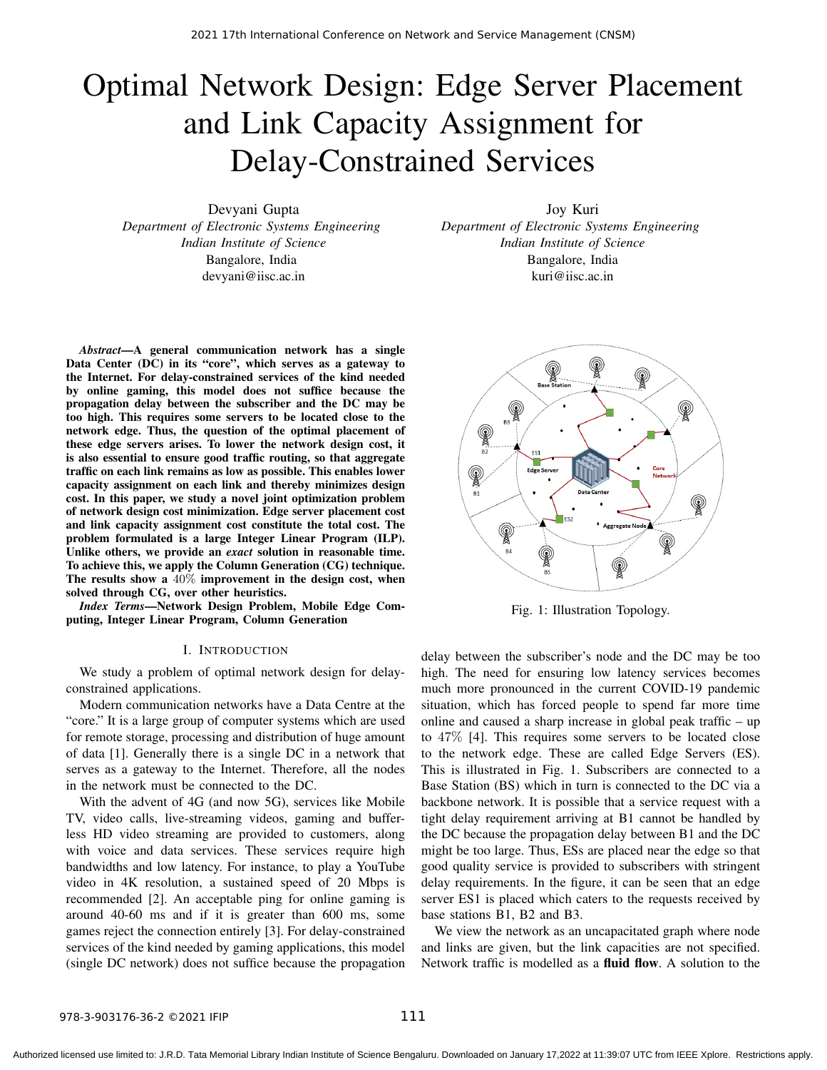# Optimal Network Design: Edge Server Placement and Link Capacity Assignment for Delay-Constrained Services

Devyani Gupta *Department of Electronic Systems Engineering Indian Institute of Science* Bangalore, India devyani@iisc.ac.in

*Abstract*—A general communication network has a single Data Center (DC) in its "core", which serves as a gateway to the Internet. For delay-constrained services of the kind needed by online gaming, this model does not suffice because the propagation delay between the subscriber and the DC may be too high. This requires some servers to be located close to the network edge. Thus, the question of the optimal placement of these edge servers arises. To lower the network design cost, it is also essential to ensure good traffic routing, so that aggregate traffic on each link remains as low as possible. This enables lower capacity assignment on each link and thereby minimizes design cost. In this paper, we study a novel joint optimization problem of network design cost minimization. Edge server placement cost and link capacity assignment cost constitute the total cost. The problem formulated is a large Integer Linear Program (ILP). Unlike others, we provide an *exact* solution in reasonable time. To achieve this, we apply the Column Generation (CG) technique. The results show a  $40\%$  improvement in the design cost, when solved through CG, over other heuristics.

*Index Terms*—Network Design Problem, Mobile Edge Computing, Integer Linear Program, Column Generation

#### I. INTRODUCTION

We study a problem of optimal network design for delayconstrained applications.

Modern communication networks have a Data Centre at the "core." It is a large group of computer systems which are used for remote storage, processing and distribution of huge amount of data [1]. Generally there is a single DC in a network that serves as a gateway to the Internet. Therefore, all the nodes in the network must be connected to the DC.

With the advent of 4G (and now 5G), services like Mobile TV, video calls, live-streaming videos, gaming and bufferless HD video streaming are provided to customers, along with voice and data services. These services require high bandwidths and low latency. For instance, to play a YouTube video in 4K resolution, a sustained speed of 20 Mbps is recommended [2]. An acceptable ping for online gaming is around 40-60 ms and if it is greater than 600 ms, some games reject the connection entirely [3]. For delay-constrained services of the kind needed by gaming applications, this model (single DC network) does not suffice because the propagation

Joy Kuri *Department of Electronic Systems Engineering Indian Institute of Science* Bangalore, India kuri@iisc.ac.in



Fig. 1: Illustration Topology.

delay between the subscriber's node and the DC may be too high. The need for ensuring low latency services becomes much more pronounced in the current COVID-19 pandemic situation, which has forced people to spend far more time online and caused a sharp increase in global peak traffic – up to 47% [4]. This requires some servers to be located close to the network edge. These are called Edge Servers (ES). This is illustrated in Fig. 1. Subscribers are connected to a Base Station (BS) which in turn is connected to the DC via a backbone network. It is possible that a service request with a tight delay requirement arriving at B1 cannot be handled by the DC because the propagation delay between B1 and the DC might be too large. Thus, ESs are placed near the edge so that good quality service is provided to subscribers with stringent delay requirements. In the figure, it can be seen that an edge server ES1 is placed which caters to the requests received by base stations B1, B2 and B3.

We view the network as an uncapacitated graph where node and links are given, but the link capacities are not specified. Network traffic is modelled as a fluid flow. A solution to the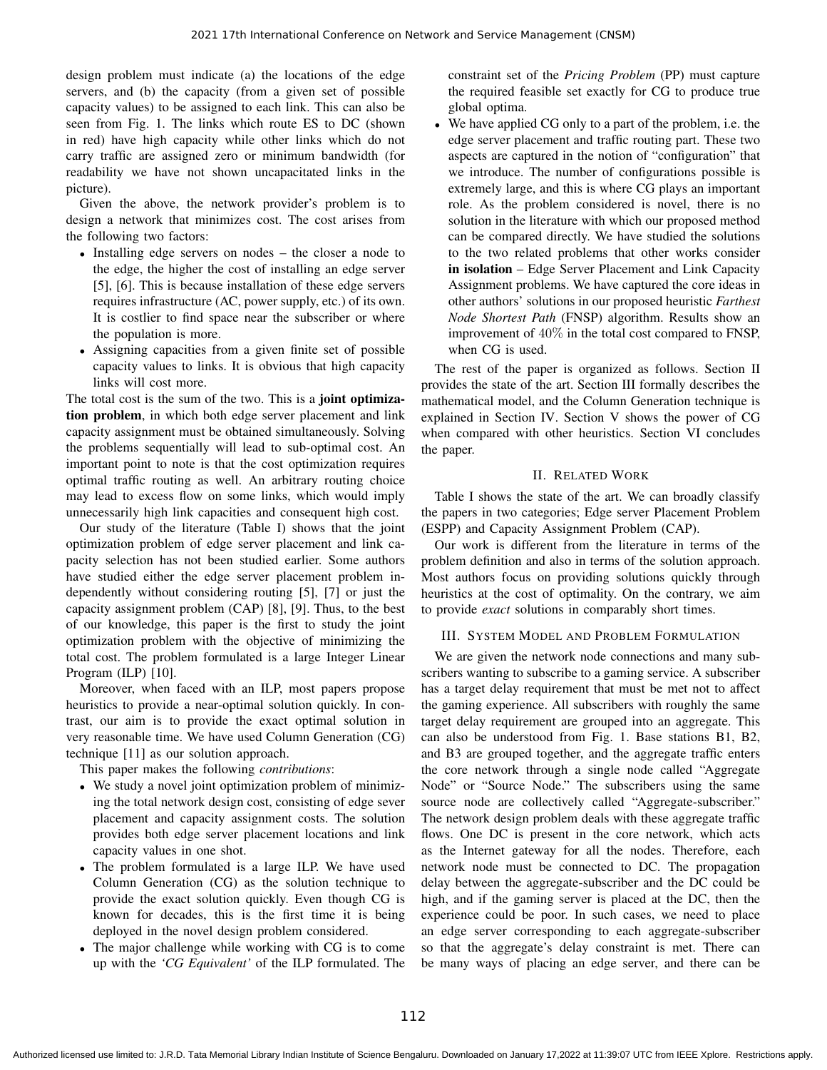design problem must indicate (a) the locations of the edge servers, and (b) the capacity (from a given set of possible capacity values) to be assigned to each link. This can also be seen from Fig. 1. The links which route ES to DC (shown in red) have high capacity while other links which do not carry traffic are assigned zero or minimum bandwidth (for readability we have not shown uncapacitated links in the picture).

Given the above, the network provider's problem is to design a network that minimizes cost. The cost arises from the following two factors:

- Installing edge servers on nodes the closer a node to the edge, the higher the cost of installing an edge server [5], [6]. This is because installation of these edge servers requires infrastructure (AC, power supply, etc.) of its own. It is costlier to find space near the subscriber or where the population is more.
- Assigning capacities from a given finite set of possible capacity values to links. It is obvious that high capacity links will cost more.

The total cost is the sum of the two. This is a **joint optimiza**tion problem, in which both edge server placement and link capacity assignment must be obtained simultaneously. Solving the problems sequentially will lead to sub-optimal cost. An important point to note is that the cost optimization requires optimal traffic routing as well. An arbitrary routing choice may lead to excess flow on some links, which would imply unnecessarily high link capacities and consequent high cost.

Our study of the literature (Table I) shows that the joint optimization problem of edge server placement and link capacity selection has not been studied earlier. Some authors have studied either the edge server placement problem independently without considering routing [5], [7] or just the capacity assignment problem (CAP) [8], [9]. Thus, to the best of our knowledge, this paper is the first to study the joint optimization problem with the objective of minimizing the total cost. The problem formulated is a large Integer Linear Program (ILP) [10].

Moreover, when faced with an ILP, most papers propose heuristics to provide a near-optimal solution quickly. In contrast, our aim is to provide the exact optimal solution in very reasonable time. We have used Column Generation (CG) technique [11] as our solution approach.

This paper makes the following *contributions*:

- We study a novel joint optimization problem of minimizing the total network design cost, consisting of edge sever placement and capacity assignment costs. The solution provides both edge server placement locations and link capacity values in one shot.
- The problem formulated is a large ILP. We have used Column Generation (CG) as the solution technique to provide the exact solution quickly. Even though CG is known for decades, this is the first time it is being deployed in the novel design problem considered.
- The major challenge while working with CG is to come up with the *'CG Equivalent'* of the ILP formulated. The

constraint set of the *Pricing Problem* (PP) must capture the required feasible set exactly for CG to produce true global optima.

• We have applied CG only to a part of the problem, i.e. the edge server placement and traffic routing part. These two aspects are captured in the notion of "configuration" that we introduce. The number of configurations possible is extremely large, and this is where CG plays an important role. As the problem considered is novel, there is no solution in the literature with which our proposed method can be compared directly. We have studied the solutions to the two related problems that other works consider in isolation – Edge Server Placement and Link Capacity Assignment problems. We have captured the core ideas in other authors' solutions in our proposed heuristic *Farthest Node Shortest Path* (FNSP) algorithm. Results show an improvement of 40% in the total cost compared to FNSP, when CG is used.

The rest of the paper is organized as follows. Section II provides the state of the art. Section III formally describes the mathematical model, and the Column Generation technique is explained in Section IV. Section V shows the power of CG when compared with other heuristics. Section VI concludes the paper.

### II. RELATED WORK

Table I shows the state of the art. We can broadly classify the papers in two categories; Edge server Placement Problem (ESPP) and Capacity Assignment Problem (CAP).

Our work is different from the literature in terms of the problem definition and also in terms of the solution approach. Most authors focus on providing solutions quickly through heuristics at the cost of optimality. On the contrary, we aim to provide *exact* solutions in comparably short times.

### III. SYSTEM MODEL AND PROBLEM FORMULATION

We are given the network node connections and many subscribers wanting to subscribe to a gaming service. A subscriber has a target delay requirement that must be met not to affect the gaming experience. All subscribers with roughly the same target delay requirement are grouped into an aggregate. This can also be understood from Fig. 1. Base stations B1, B2, and B3 are grouped together, and the aggregate traffic enters the core network through a single node called "Aggregate Node" or "Source Node." The subscribers using the same source node are collectively called "Aggregate-subscriber." The network design problem deals with these aggregate traffic flows. One DC is present in the core network, which acts as the Internet gateway for all the nodes. Therefore, each network node must be connected to DC. The propagation delay between the aggregate-subscriber and the DC could be high, and if the gaming server is placed at the DC, then the experience could be poor. In such cases, we need to place an edge server corresponding to each aggregate-subscriber so that the aggregate's delay constraint is met. There can be many ways of placing an edge server, and there can be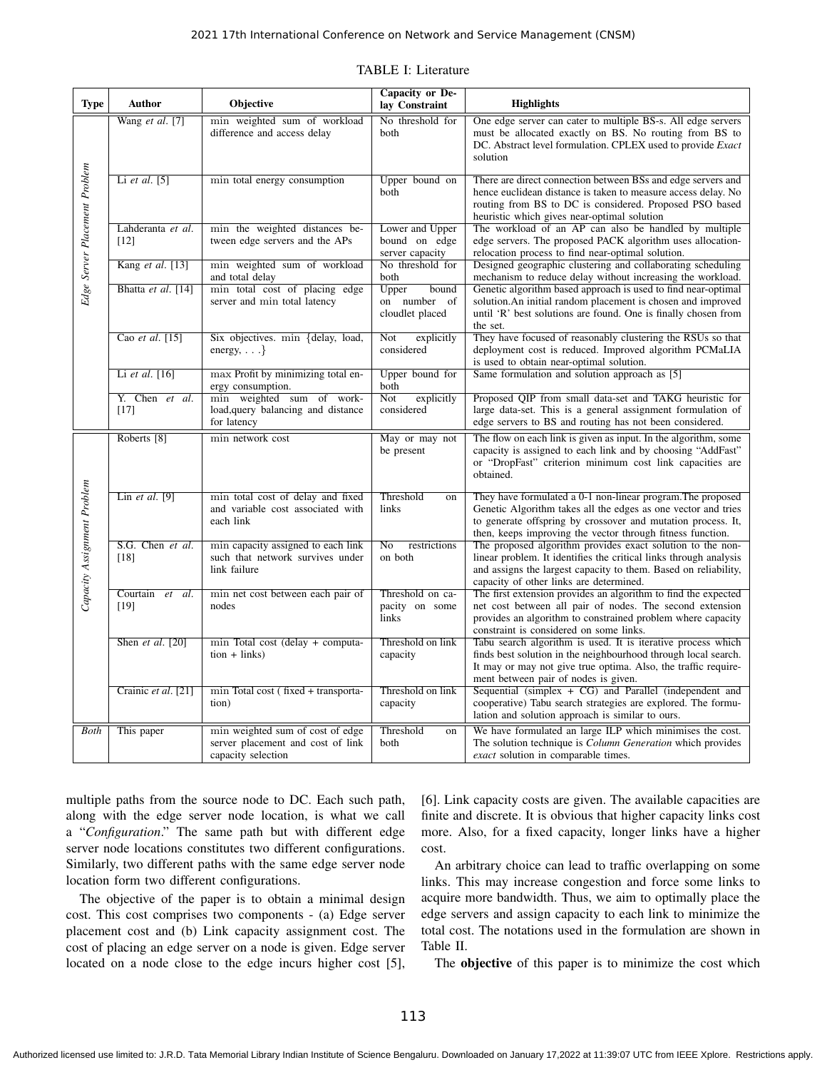| <b>Type</b>                   | <b>Author</b>                | Objective                                                                                   | Capacity or De-<br>lay Constraint                   | <b>Highlights</b>                                                                                                                                                                                                                                          |
|-------------------------------|------------------------------|---------------------------------------------------------------------------------------------|-----------------------------------------------------|------------------------------------------------------------------------------------------------------------------------------------------------------------------------------------------------------------------------------------------------------------|
| Edge Server Placement Problem | Wang et al. $[7]$            | min weighted sum of workload<br>difference and access delay                                 | No threshold for<br>both                            | One edge server can cater to multiple BS-s. All edge servers<br>must be allocated exactly on BS. No routing from BS to<br>DC. Abstract level formulation. CPLEX used to provide <i>Exact</i><br>solution                                                   |
|                               | Li et al. $[5]$              | min total energy consumption                                                                | Upper bound on<br>both                              | There are direct connection between BSs and edge servers and<br>hence euclidean distance is taken to measure access delay. No<br>routing from BS to DC is considered. Proposed PSO based<br>heuristic which gives near-optimal solution                    |
|                               | Lahderanta et al.<br>$[12]$  | min the weighted distances be-<br>tween edge servers and the APs                            | Lower and Upper<br>bound on edge<br>server capacity | The workload of an AP can also be handled by multiple<br>edge servers. The proposed PACK algorithm uses allocation-<br>relocation process to find near-optimal solution.                                                                                   |
|                               | Kang et al. [13]             | min weighted sum of workload<br>and total delay                                             | No threshold for<br>both                            | Designed geographic clustering and collaborating scheduling<br>mechanism to reduce delay without increasing the workload.                                                                                                                                  |
|                               | Bhatta et al. [14]           | min total cost of placing edge<br>server and min total latency                              | Upper<br>bound<br>on number of<br>cloudlet placed   | Genetic algorithm based approach is used to find near-optimal<br>solution. An initial random placement is chosen and improved<br>until 'R' best solutions are found. One is finally chosen from<br>the set.                                                |
|                               | Cao et al. [15]              | Six objectives. min {delay, load,<br>energy, $\ldots$ }                                     | explicitly<br>Not<br>considered                     | They have focused of reasonably clustering the RSUs so that<br>deployment cost is reduced. Improved algorithm PCMaLIA<br>is used to obtain near-optimal solution.                                                                                          |
|                               | Li et al. [16]               | max Profit by minimizing total en-<br>ergy consumption.                                     | Upper bound for<br>both                             | Same formulation and solution approach as [5]                                                                                                                                                                                                              |
|                               | Y. Chen et al.<br>$[17]$     | min weighted sum of work-<br>load, query balancing and distance<br>for latency              | Not<br>explicitly<br>considered                     | Proposed QIP from small data-set and TAKG heuristic for<br>large data-set. This is a general assignment formulation of<br>edge servers to BS and routing has not been considered.                                                                          |
| Capacity Assignment Problem   | Roberts <sup>[8]</sup>       | min network cost                                                                            | May or may not<br>be present                        | The flow on each link is given as input. In the algorithm, some<br>capacity is assigned to each link and by choosing "AddFast"<br>or "DropFast" criterion minimum cost link capacities are<br>obtained.                                                    |
|                               | Lin et al. $[9]$             | min total cost of delay and fixed<br>and variable cost associated with<br>each link         | Threshold<br>on<br>links                            | They have formulated a 0-1 non-linear program. The proposed<br>Genetic Algorithm takes all the edges as one vector and tries<br>to generate offspring by crossover and mutation process. It,<br>then, keeps improving the vector through fitness function. |
|                               | S.G. Chen et al.<br>$[18]$   | min capacity assigned to each link<br>such that network survives under<br>link failure      | No<br>restrictions<br>on both                       | The proposed algorithm provides exact solution to the non-<br>linear problem. It identifies the critical links through analysis<br>and assigns the largest capacity to them. Based on reliability,<br>capacity of other links are determined.              |
|                               | Courtain et<br>al.<br>$[19]$ | min net cost between each pair of<br>nodes                                                  | Threshold on ca-<br>pacity on some<br>links         | The first extension provides an algorithm to find the expected<br>net cost between all pair of nodes. The second extension<br>provides an algorithm to constrained problem where capacity<br>constraint is considered on some links.                       |
|                               | Shen et al. $[20]$           | min Total cost (delay + computa-<br>$tion + links)$                                         | Threshold on link<br>capacity                       | Tabu search algorithm is used. It is iterative process which<br>finds best solution in the neighbourhood through local search.<br>It may or may not give true optima. Also, the traffic require-<br>ment between pair of nodes is given.                   |
|                               | Crainic et al. [21]          | min Total cost (fixed + transporta-<br>tion)                                                | Threshold on link<br>capacity                       | Sequential (simplex $+ CG$ ) and Parallel (independent and<br>cooperative) Tabu search strategies are explored. The formu-<br>lation and solution approach is similar to ours.                                                                             |
| <b>Both</b>                   | This paper                   | min weighted sum of cost of edge<br>server placement and cost of link<br>capacity selection | Threshold<br>on<br>both                             | We have formulated an large ILP which minimises the cost.<br>The solution technique is <i>Column Generation</i> which provides<br><i>exact</i> solution in comparable times.                                                                               |

multiple paths from the source node to DC. Each such path, along with the edge server node location, is what we call a "*Configuration*." The same path but with different edge server node locations constitutes two different configurations. Similarly, two different paths with the same edge server node location form two different configurations.

The objective of the paper is to obtain a minimal design cost. This cost comprises two components - (a) Edge server placement cost and (b) Link capacity assignment cost. The cost of placing an edge server on a node is given. Edge server located on a node close to the edge incurs higher cost [5], [6]. Link capacity costs are given. The available capacities are finite and discrete. It is obvious that higher capacity links cost more. Also, for a fixed capacity, longer links have a higher cost.

An arbitrary choice can lead to traffic overlapping on some links. This may increase congestion and force some links to acquire more bandwidth. Thus, we aim to optimally place the edge servers and assign capacity to each link to minimize the total cost. The notations used in the formulation are shown in Table II.

The objective of this paper is to minimize the cost which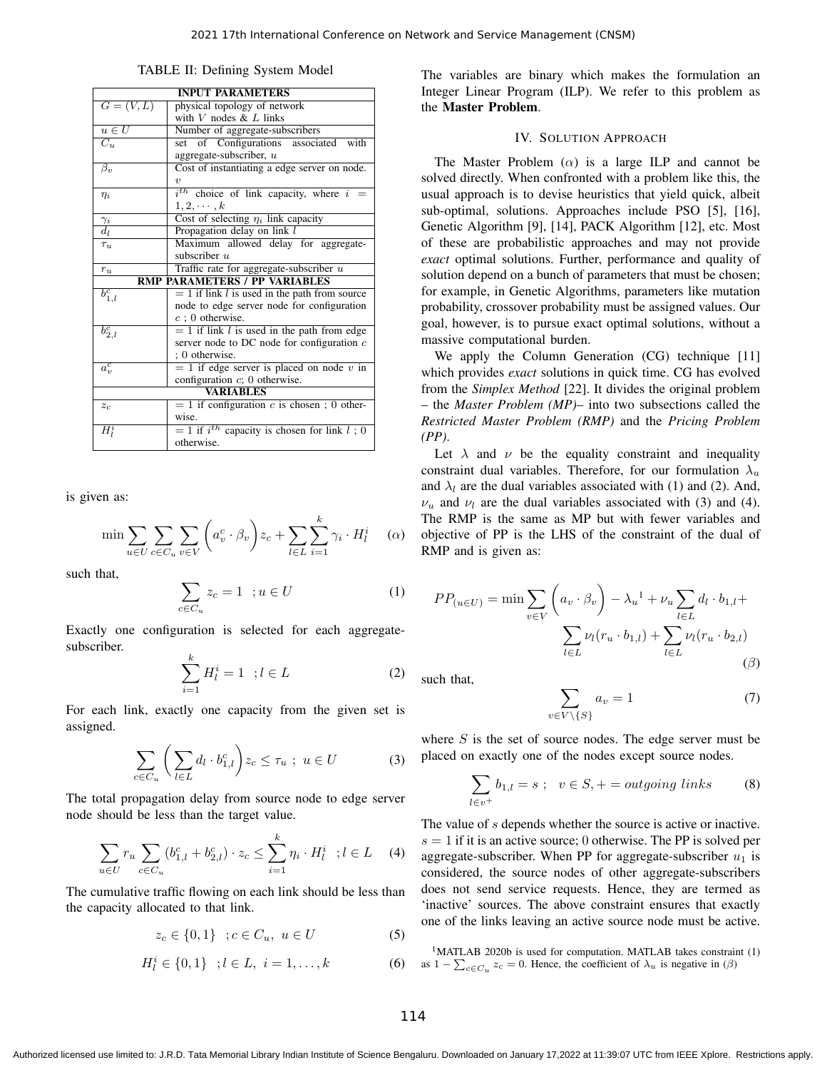| TABLE II: Defining System Model |  |
|---------------------------------|--|
|---------------------------------|--|

| <b>INPUT PARAMETERS</b>              |                                                    |  |  |  |
|--------------------------------------|----------------------------------------------------|--|--|--|
| $G=(V,L)$                            | physical topology of network                       |  |  |  |
|                                      | with $V$ nodes $&L$ links                          |  |  |  |
| $u \in U$                            | Number of aggregate-subscribers                    |  |  |  |
| $C_{u}$                              | set of Configurations<br>associated with           |  |  |  |
|                                      | aggregate-subscriber, $u$                          |  |  |  |
| $\beta_v$                            | Cost of instantiating a edge server on node.       |  |  |  |
|                                      | $\boldsymbol{v}$                                   |  |  |  |
| $\eta_i$                             | $i^{th}$ choice of link capacity, where $i =$      |  |  |  |
|                                      | $1, 2, \cdots, k$                                  |  |  |  |
|                                      | Cost of selecting $\eta_i$ link capacity           |  |  |  |
| $\frac{\gamma_i}{d_l}$               | Propagation delay on link l                        |  |  |  |
| $\tau_u$                             | Maximum allowed delay for aggregate-               |  |  |  |
|                                      | subscriber $u$                                     |  |  |  |
| $r_u$                                | Traffic rate for aggregate-subscriber $u$          |  |  |  |
| <b>RMP PARAMETERS / PP VARIABLES</b> |                                                    |  |  |  |
| $b_{1,l}^c$                          | $= 1$ if link l is used in the path from source    |  |  |  |
|                                      | node to edge server node for configuration         |  |  |  |
|                                      | $c$ ; 0 otherwise.                                 |  |  |  |
| $b_{2,l}^c$                          | $= 1$ if link l is used in the path from edge      |  |  |  |
|                                      | server node to DC node for configuration $c$       |  |  |  |
|                                      | ; 0 otherwise.                                     |  |  |  |
| $\overline{a_v^c}$                   | $= 1$ if edge server is placed on node v in        |  |  |  |
|                                      | configuration $c$ ; 0 otherwise.                   |  |  |  |
| <b>VARIABLES</b>                     |                                                    |  |  |  |
| $z_c$                                | $= 1$ if configuration c is chosen; 0 other-       |  |  |  |
|                                      | wise.                                              |  |  |  |
| $H_I^i$                              | $=$ 1 if $i^{th}$ capacity is chosen for link l; 0 |  |  |  |
|                                      | otherwise.                                         |  |  |  |

is given as:

$$
\min \sum_{u \in U} \sum_{c \in C_u} \sum_{v \in V} \left( a_v^c \cdot \beta_v \right) z_c + \sum_{l \in L} \sum_{i=1}^k \gamma_i \cdot H_l^i \quad (\alpha)
$$

such that,

$$
\sum_{c \in C_u} z_c = 1 \quad ; u \in U \tag{1}
$$

Exactly one configuration is selected for each aggregatesubscriber.

$$
\sum_{i=1}^{k} H_l^i = 1 \quad ; l \in L \tag{2}
$$

For each link, exactly one capacity from the given set is assigned.

$$
\sum_{c \in C_u} \left( \sum_{l \in L} d_l \cdot b_{1,l}^c \right) z_c \le \tau_u \ ; \ u \in U \tag{3}
$$

The total propagation delay from source node to edge server node should be less than the target value.

$$
\sum_{u \in U} r_u \sum_{c \in C_u} (b_{1,l}^c + b_{2,l}^c) \cdot z_c \le \sum_{i=1}^k \eta_i \cdot H_l^i \quad ; l \in L \quad (4)
$$

The cumulative traffic flowing on each link should be less than the capacity allocated to that link.

$$
z_c \in \{0, 1\} \; ; c \in C_u, \; u \in U \tag{5}
$$

$$
H_l^i \in \{0, 1\} \quad ; l \in L, \ i = 1, \dots, k \tag{6}
$$

The variables are binary which makes the formulation an Integer Linear Program (ILP). We refer to this problem as the Master Problem.

# IV. SOLUTION APPROACH

The Master Problem  $(\alpha)$  is a large ILP and cannot be solved directly. When confronted with a problem like this, the usual approach is to devise heuristics that yield quick, albeit sub-optimal, solutions. Approaches include PSO [5], [16], Genetic Algorithm [9], [14], PACK Algorithm [12], etc. Most of these are probabilistic approaches and may not provide *exact* optimal solutions. Further, performance and quality of solution depend on a bunch of parameters that must be chosen; for example, in Genetic Algorithms, parameters like mutation probability, crossover probability must be assigned values. Our goal, however, is to pursue exact optimal solutions, without a massive computational burden.

We apply the Column Generation (CG) technique [11] which provides *exact* solutions in quick time. CG has evolved from the *Simplex Method* [22]. It divides the original problem – the *Master Problem (MP)*– into two subsections called the *Restricted Master Problem (RMP)* and the *Pricing Problem (PP)*.

Let  $\lambda$  and  $\nu$  be the equality constraint and inequality constraint dual variables. Therefore, for our formulation  $\lambda_u$ and  $\lambda_l$  are the dual variables associated with (1) and (2). And,  $\nu_u$  and  $\nu_l$  are the dual variables associated with (3) and (4). The RMP is the same as MP but with fewer variables and objective of PP is the LHS of the constraint of the dual of RMP and is given as:

$$
PP_{(u\in U)} = \min \sum_{v\in V} \left( a_v \cdot \beta_v \right) - \lambda_u^{-1} + \nu_u \sum_{l\in L} d_l \cdot b_{1,l} + \sum_{l\in L} \nu_l (r_u \cdot b_{1,l}) + \sum_{l\in L} \nu_l (r_u \cdot b_{2,l})
$$
\n
$$
( \beta )
$$

such that,

$$
\sum_{v \in V \setminus \{S\}} a_v = 1 \tag{7}
$$

where  $S$  is the set of source nodes. The edge server must be placed on exactly one of the nodes except source nodes.

$$
\sum_{l \in v^{+}} b_{1,l} = s \; ; \; v \in S, + = outgoing\,\, links \qquad (8)
$$

The value of s depends whether the source is active or inactive.  $s = 1$  if it is an active source; 0 otherwise. The PP is solved per aggregate-subscriber. When PP for aggregate-subscriber  $u_1$  is considered, the source nodes of other aggregate-subscribers does not send service requests. Hence, they are termed as 'inactive' sources. The above constraint ensures that exactly one of the links leaving an active source node must be active.

<sup>1</sup>MATLAB 2020b is used for computation. MATLAB takes constraint (1) as  $1 - \sum_{c \in C_u} z_c = 0$ . Hence, the coefficient of  $\lambda_u$  is negative in ( $\beta$ )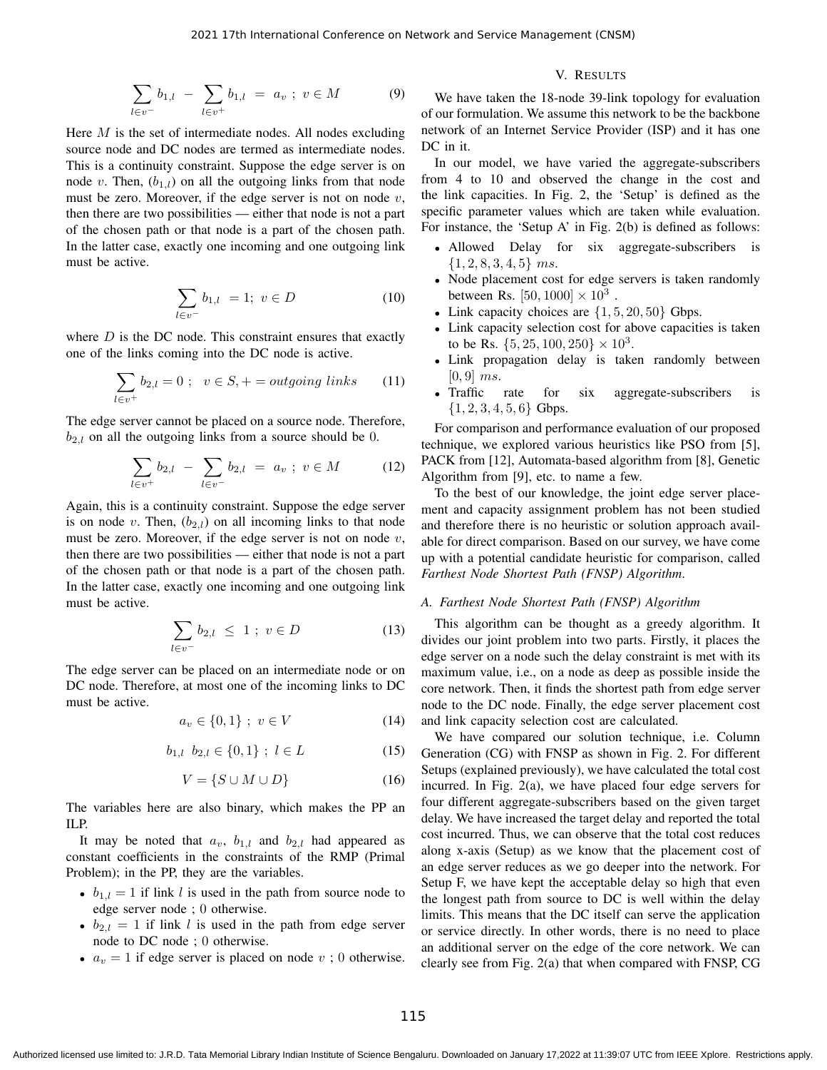$$
\sum_{l \in v^-} b_{1,l} - \sum_{l \in v^+} b_{1,l} = a_v \; ; \; v \in M \tag{9}
$$

Here  $M$  is the set of intermediate nodes. All nodes excluding source node and DC nodes are termed as intermediate nodes. This is a continuity constraint. Suppose the edge server is on node v. Then,  $(b_{1,l})$  on all the outgoing links from that node must be zero. Moreover, if the edge server is not on node  $v$ , then there are two possibilities — either that node is not a part of the chosen path or that node is a part of the chosen path. In the latter case, exactly one incoming and one outgoing link must be active.

$$
\sum_{l \in v^-} b_{1,l} = 1; \ v \in D \tag{10}
$$

where  $D$  is the DC node. This constraint ensures that exactly one of the links coming into the DC node is active.

$$
\sum_{l \in v^{+}} b_{2,l} = 0 \; ; \; v \in S, + = outgoing\,\, links \qquad (11)
$$

The edge server cannot be placed on a source node. Therefore,  $b_{2,l}$  on all the outgoing links from a source should be 0.

$$
\sum_{l \in v^{+}} b_{2,l} - \sum_{l \in v^{-}} b_{2,l} = a_{v} ; v \in M \qquad (12)
$$

Again, this is a continuity constraint. Suppose the edge server is on node v. Then,  $(b_{2,l})$  on all incoming links to that node must be zero. Moreover, if the edge server is not on node  $v$ , then there are two possibilities — either that node is not a part of the chosen path or that node is a part of the chosen path. In the latter case, exactly one incoming and one outgoing link must be active.

$$
\sum_{l \in v^-} b_{2,l} \le 1 \; ; \; v \in D \tag{13}
$$

The edge server can be placed on an intermediate node or on DC node. Therefore, at most one of the incoming links to DC must be active.

$$
a_v \in \{0, 1\} \; ; \; v \in V \tag{14}
$$

$$
b_{1,l} \ \ b_{2,l} \in \{0,1\} \ ; \ l \in L \tag{15}
$$

$$
V = \{ S \cup M \cup D \} \tag{16}
$$

The variables here are also binary, which makes the PP an ILP.

It may be noted that  $a_v$ ,  $b_{1,l}$  and  $b_{2,l}$  had appeared as constant coefficients in the constraints of the RMP (Primal Problem); in the PP, they are the variables.

- $b_{1,l} = 1$  if link l is used in the path from source node to edge server node ; 0 otherwise.
- $b_{2,l} = 1$  if link l is used in the path from edge server node to DC node ; 0 otherwise.
- $a_v = 1$  if edge server is placed on node v; 0 otherwise.

## V. RESULTS

We have taken the 18-node 39-link topology for evaluation of our formulation. We assume this network to be the backbone network of an Internet Service Provider (ISP) and it has one DC in it.

In our model, we have varied the aggregate-subscribers from 4 to 10 and observed the change in the cost and the link capacities. In Fig. 2, the 'Setup' is defined as the specific parameter values which are taken while evaluation. For instance, the 'Setup A' in Fig. 2(b) is defined as follows:

- Allowed Delay for six aggregate-subscribers is  $\{1, 2, 8, 3, 4, 5\}$  ms.
- Node placement cost for edge servers is taken randomly between Rs.  $[50, 1000] \times 10^3$ .
- Link capacity choices are  $\{1, 5, 20, 50\}$  Gbps.
- Link capacity selection cost for above capacities is taken to be Rs.  $\{5, 25, 100, 250\} \times 10^3$ .
- Link propagation delay is taken randomly between  $[0, 9]$  ms.
- Traffic rate for six aggregate-subscribers is  $\{1, 2, 3, 4, 5, 6\}$  Gbps.

For comparison and performance evaluation of our proposed technique, we explored various heuristics like PSO from [5], PACK from [12], Automata-based algorithm from [8], Genetic Algorithm from [9], etc. to name a few.

To the best of our knowledge, the joint edge server placement and capacity assignment problem has not been studied and therefore there is no heuristic or solution approach available for direct comparison. Based on our survey, we have come up with a potential candidate heuristic for comparison, called *Farthest Node Shortest Path (FNSP) Algorithm*.

## *A. Farthest Node Shortest Path (FNSP) Algorithm*

This algorithm can be thought as a greedy algorithm. It divides our joint problem into two parts. Firstly, it places the edge server on a node such the delay constraint is met with its maximum value, i.e., on a node as deep as possible inside the core network. Then, it finds the shortest path from edge server node to the DC node. Finally, the edge server placement cost and link capacity selection cost are calculated.

We have compared our solution technique, i.e. Column Generation (CG) with FNSP as shown in Fig. 2. For different Setups (explained previously), we have calculated the total cost incurred. In Fig. 2(a), we have placed four edge servers for four different aggregate-subscribers based on the given target delay. We have increased the target delay and reported the total cost incurred. Thus, we can observe that the total cost reduces along x-axis (Setup) as we know that the placement cost of an edge server reduces as we go deeper into the network. For Setup F, we have kept the acceptable delay so high that even the longest path from source to DC is well within the delay limits. This means that the DC itself can serve the application or service directly. In other words, there is no need to place an additional server on the edge of the core network. We can clearly see from Fig. 2(a) that when compared with FNSP, CG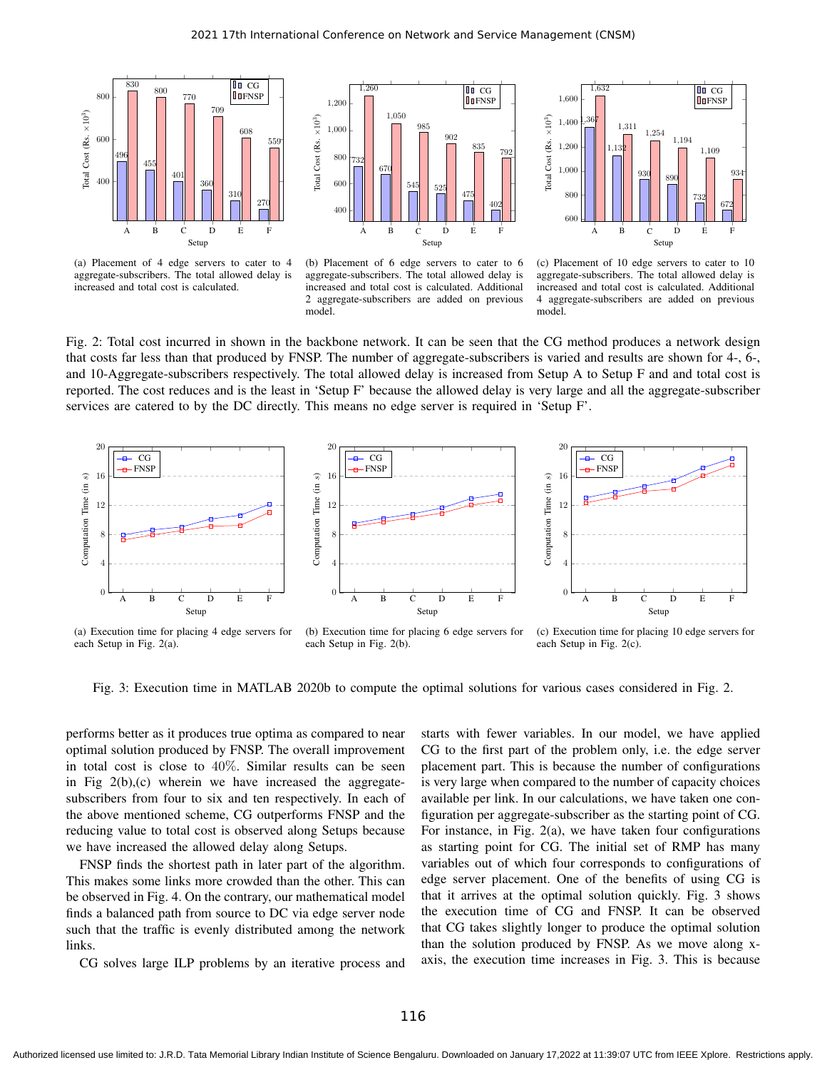

(a) Placement of 4 edge servers to cater to 4 aggregate-subscribers. The total allowed delay is increased and total cost is calculated.



(b) Placement of 6 edge servers to cater to 6 aggregate-subscribers. The total allowed delay is increased and total cost is calculated. Additional 2 aggregate-subscribers are added on previous model.



(c) Placement of 10 edge servers to cater to 10 aggregate-subscribers. The total allowed delay is increased and total cost is calculated. Additional 4 aggregate-subscribers are added on previous model.

Fig. 2: Total cost incurred in shown in the backbone network. It can be seen that the CG method produces a network design that costs far less than that produced by FNSP. The number of aggregate-subscribers is varied and results are shown for 4-, 6-, and 10-Aggregate-subscribers respectively. The total allowed delay is increased from Setup A to Setup F and and total cost is reported. The cost reduces and is the least in 'Setup F' because the allowed delay is very large and all the aggregate-subscriber services are catered to by the DC directly. This means no edge server is required in 'Setup F'.



Fig. 3: Execution time in MATLAB 2020b to compute the optimal solutions for various cases considered in Fig. 2.

performs better as it produces true optima as compared to near optimal solution produced by FNSP. The overall improvement in total cost is close to 40%. Similar results can be seen in Fig  $2(b)$ , (c) wherein we have increased the aggregatesubscribers from four to six and ten respectively. In each of the above mentioned scheme, CG outperforms FNSP and the reducing value to total cost is observed along Setups because we have increased the allowed delay along Setups.

FNSP finds the shortest path in later part of the algorithm. This makes some links more crowded than the other. This can be observed in Fig. 4. On the contrary, our mathematical model finds a balanced path from source to DC via edge server node such that the traffic is evenly distributed among the network links.

CG solves large ILP problems by an iterative process and

starts with fewer variables. In our model, we have applied CG to the first part of the problem only, i.e. the edge server placement part. This is because the number of configurations is very large when compared to the number of capacity choices available per link. In our calculations, we have taken one configuration per aggregate-subscriber as the starting point of CG. For instance, in Fig. 2(a), we have taken four configurations as starting point for CG. The initial set of RMP has many variables out of which four corresponds to configurations of edge server placement. One of the benefits of using CG is that it arrives at the optimal solution quickly. Fig. 3 shows the execution time of CG and FNSP. It can be observed that CG takes slightly longer to produce the optimal solution than the solution produced by FNSP. As we move along xaxis, the execution time increases in Fig. 3. This is because